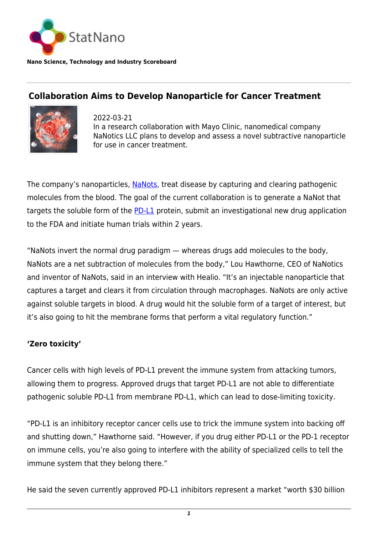

**Nano Science, Technology and Industry Scoreboard**

## **Collaboration Aims to Develop Nanoparticle for Cancer Treatment**



2022-03-21 In a research collaboration with Mayo Clinic, nanomedical company NaNotics LLC plans to develop and assess a novel subtractive nanoparticle for use in cancer treatment.

The company's nanoparticles, [NaNots,](https://www.nanotics.com/main_site.html) treat disease by capturing and clearing pathogenic molecules from the blood. The goal of the current collaboration is to generate a NaNot that targets the soluble form of the **[PD-L1](https://www.healio.com/news/hematology-oncology/20210813/deep-learning-score-predicts-pdl1-status-among-patients-with-nonsmall-cell-lung-cancer)** protein, submit an investigational new drug application to the FDA and initiate human trials within 2 years.

"NaNots invert the normal drug paradigm — whereas drugs add molecules to the body, NaNots are a net subtraction of molecules from the body," Lou Hawthorne, CEO of NaNotics and inventor of NaNots, said in an interview with Healio. "It's an injectable nanoparticle that captures a target and clears it from circulation through macrophages. NaNots are only active against soluble targets in blood. A drug would hit the soluble form of a target of interest, but it's also going to hit the membrane forms that perform a vital regulatory function."

## **'Zero toxicity'**

Cancer cells with high levels of PD-L1 prevent the immune system from attacking tumors, allowing them to progress. Approved drugs that target PD-L1 are not able to differentiate pathogenic soluble PD-L1 from membrane PD-L1, which can lead to dose-limiting toxicity.

"PD-L1 is an inhibitory receptor cancer cells use to trick the immune system into backing off and shutting down," Hawthorne said. "However, if you drug either PD-L1 or the PD-1 receptor on immune cells, you're also going to interfere with the ability of specialized cells to tell the immune system that they belong there."

He said the seven currently approved PD-L1 inhibitors represent a market "worth \$30 billion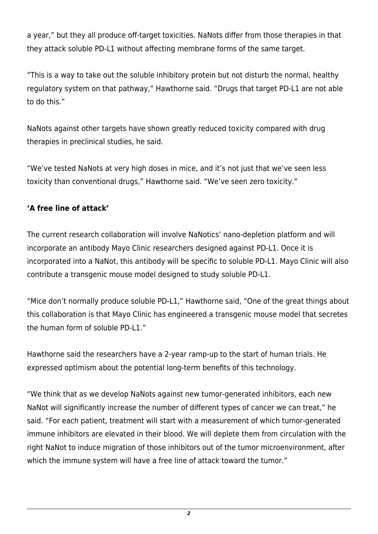a year," but they all produce off-target toxicities. NaNots differ from those therapies in that they attack soluble PD-L1 without affecting membrane forms of the same target.

"This is a way to take out the soluble inhibitory protein but not disturb the normal, healthy regulatory system on that pathway," Hawthorne said. "Drugs that target PD-L1 are not able to do this."

NaNots against other targets have shown greatly reduced toxicity compared with drug therapies in preclinical studies, he said.

"We've tested NaNots at very high doses in mice, and it's not just that we've seen less toxicity than conventional drugs," Hawthorne said. "We've seen zero toxicity."

## **'A free line of attack'**

The current research collaboration will involve NaNotics' nano-depletion platform and will incorporate an antibody Mayo Clinic researchers designed against PD-L1. Once it is incorporated into a NaNot, this antibody will be specific to soluble PD-L1. Mayo Clinic will also contribute a transgenic mouse model designed to study soluble PD-L1.

"Mice don't normally produce soluble PD-L1," Hawthorne said, "One of the great things about this collaboration is that Mayo Clinic has engineered a transgenic mouse model that secretes the human form of soluble PD-L1."

Hawthorne said the researchers have a 2-year ramp-up to the start of human trials. He expressed optimism about the potential long-term benefits of this technology.

"We think that as we develop NaNots against new tumor-generated inhibitors, each new NaNot will significantly increase the number of different types of cancer we can treat," he said. "For each patient, treatment will start with a measurement of which tumor-generated immune inhibitors are elevated in their blood. We will deplete them from circulation with the right NaNot to induce migration of those inhibitors out of the tumor microenvironment, after which the immune system will have a free line of attack toward the tumor."